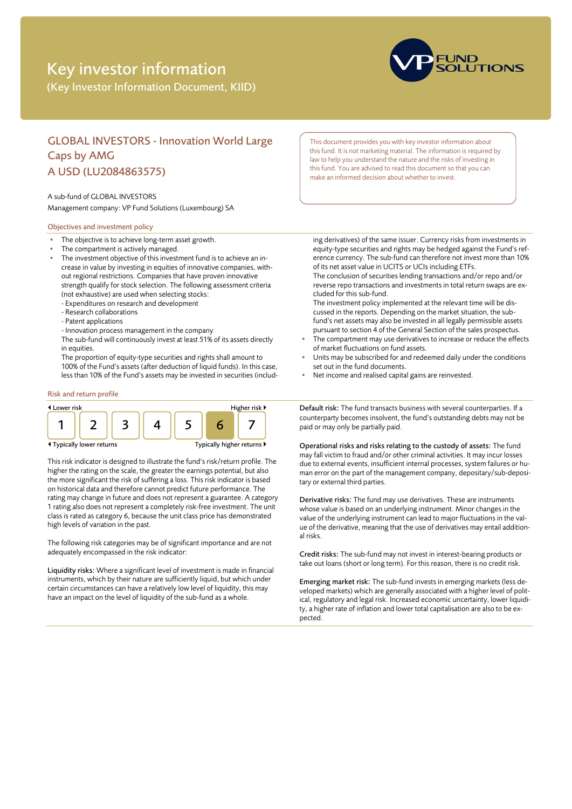# Key investor information

(Key Investor Information Document, KIID)



# GLOBAL INVESTORS - Innovation World Large Caps by AMG A USD (LU2084863575)

### A sub-fund of GLOBAL INVESTORS

Management company: VP Fund Solutions (Luxembourg) SA

# Objectives and investment policy

- The objective is to achieve long-term asset growth.
- The compartment is actively managed.
- The investment objective of this investment fund is to achieve an increase in value by investing in equities of innovative companies, without regional restrictions. Companies that have proven innovative strength qualify for stock selection. The following assessment criteria (not exhaustive) are used when selecting stocks:
	- Expenditures on research and development
	- Research collaborations
	- Patent applications
	- Innovation process management in the company
	- The sub-fund will continuously invest at least 51% of its assets directly in equities.

The proportion of equity-type securities and rights shall amount to 100% of the Fund's assets (after deduction of liquid funds). In this case, less than 10% of the Fund's assets may be invested in securities (includ-

# Risk and return profile



This risk indicator is designed to illustrate the fund's risk/return profile. The higher the rating on the scale, the greater the earnings potential, but also the more significant the risk of suffering a loss. This risk indicator is based on historical data and therefore cannot predict future performance. The rating may change in future and does not represent a guarantee. A category 1 rating also does not represent a completely risk-free investment. The unit class is rated as category 6, because the unit class price has demonstrated high levels of variation in the past.

The following risk categories may be of significant importance and are not adequately encompassed in the risk indicator:

Liquidity risks: Where a significant level of investment is made in financial instruments, which by their nature are sufficiently liquid, but which under certain circumstances can have a relatively low level of liquidity, this may have an impact on the level of liquidity of the sub-fund as a whole.

This document provides you with key investor information about this fund. It is not marketing material. The information is required by law to help you understand the nature and the risks of investing in this fund. You are advised to read this document so that you can make an informed decision about whether to invest.

ing derivatives) of the same issuer. Currency risks from investments in equity-type securities and rights may be hedged against the Fund's reference currency. The sub-fund can therefore not invest more than 10% of its net asset value in UCITS or UCIs including ETFs. The conclusion of securities lending transactions and/or repo and/or

reverse repo transactions and investments in total return swaps are excluded for this sub-fund.

The investment policy implemented at the relevant time will be discussed in the reports. Depending on the market situation, the subfund's net assets may also be invested in all legally permissible assets pursuant to section 4 of the General Section of the sales prospectus.

- The compartment may use derivatives to increase or reduce the effects of market fluctuations on fund assets.
- Units may be subscribed for and redeemed daily under the conditions set out in the fund documents.
- Net income and realised capital gains are reinvested.

Default risk: The fund transacts business with several counterparties. If a counterparty becomes insolvent, the fund's outstanding debts may not be paid or may only be partially paid.

Operational risks and risks relating to the custody of assets: The fund may fall victim to fraud and/or other criminal activities. It may incur losses due to external events, insufficient internal processes, system failures or human error on the part of the management company, depositary/sub-depositary or external third parties.

Derivative risks: The fund may use derivatives. These are instruments whose value is based on an underlying instrument. Minor changes in the value of the underlying instrument can lead to major fluctuations in the value of the derivative, meaning that the use of derivatives may entail additional risks.

Credit risks: The sub-fund may not invest in interest-bearing products or take out loans (short or long term). For this reason, there is no credit risk.

Emerging market risk: The sub-fund invests in emerging markets (less developed markets) which are generally associated with a higher level of political, regulatory and legal risk. Increased economic uncertainty, lower liquidity, a higher rate of inflation and lower total capitalisation are also to be expected.